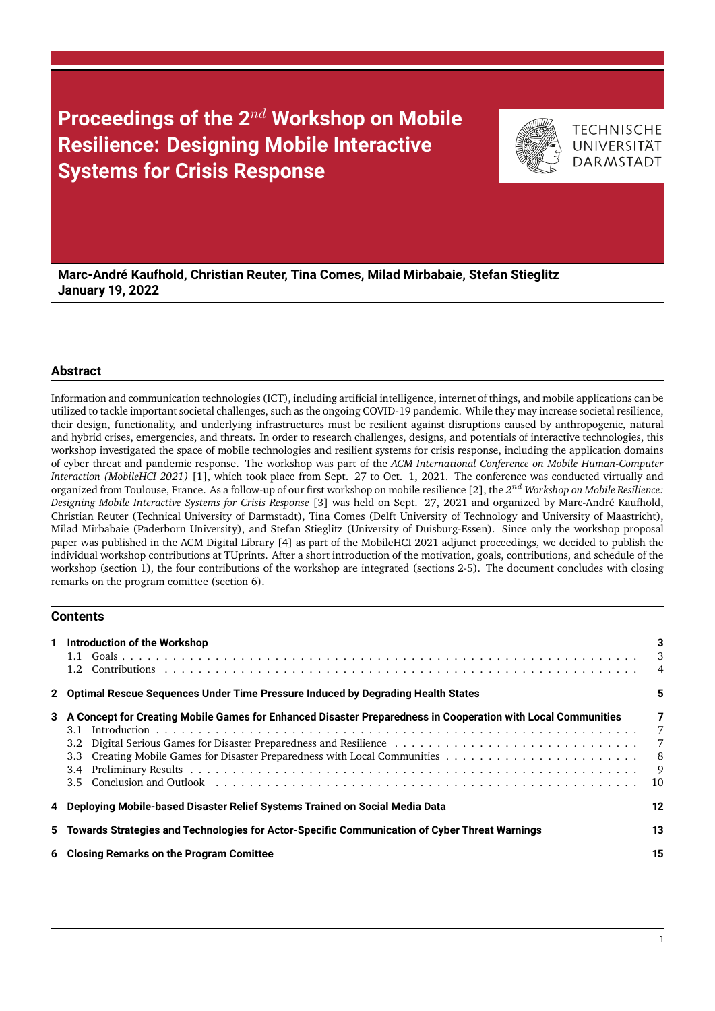# **Proceedings of the 2**nd **Workshop on Mobile Resilience: Designing Mobile Interactive Systems for Crisis Response**



**TECHNISCHE** UNIVERSITÄT **DARMSTADT** 

**Marc-André Kaufhold, Christian Reuter, Tina Comes, Milad Mirbabaie, Stefan Stieglitz January 19, 2022**

# **Abstract**

Information and communication technologies (ICT), including artificial intelligence, internet of things, and mobile applications can be utilized to tackle important societal challenges, such as the ongoing COVID-19 pandemic. While they may increase societal resilience, their design, functionality, and underlying infrastructures must be resilient against disruptions caused by anthropogenic, natural and hybrid crises, emergencies, and threats. In order to research challenges, designs, and potentials of interactive technologies, this workshop investigated the space of mobile technologies and resilient systems for crisis response, including the application domains of cyber threat and pandemic response. The workshop was part of the *ACM International Conference on Mobile Human-Computer Interaction (MobileHCI 2021)* [\[1\]](#page-15-0), which took place from Sept. 27 to Oct. 1, 2021. The conference was conducted virtually and organized from Toulouse, France. As a follow-up of our first workshop on mobile resilience [\[2\]](#page-15-1), the 2<sup>nd</sup> Workshop on Mobile Resilience: *Designing Mobile Interactive Systems for Crisis Response* [\[3\]](#page-15-2) was held on Sept. 27, 2021 and organized by Marc-André Kaufhold, Christian Reuter (Technical University of Darmstadt), Tina Comes (Delft University of Technology and University of Maastricht), Milad Mirbabaie (Paderborn University), and Stefan Stieglitz (University of Duisburg-Essen). Since only the workshop proposal paper was published in the ACM Digital Library [\[4\]](#page-15-3) as part of the MobileHCI 2021 adjunct proceedings, we decided to publish the individual workshop contributions at TUprints. After a short introduction of the motivation, goals, contributions, and schedule of the workshop (section 1), the four contributions of the workshop are integrated (sections 2-5). The document concludes with closing remarks on the program comittee (section 6).

## **Contents**

| 1 Introduction of the Workshop                                                                                                   | 3<br>3<br>$\overline{4}$     |
|----------------------------------------------------------------------------------------------------------------------------------|------------------------------|
| 2 Optimal Rescue Sequences Under Time Pressure Induced by Degrading Health States                                                | 5.                           |
| 3 A Concept for Creating Mobile Games for Enhanced Disaster Preparedness in Cooperation with Local Communities<br>3.1<br>$3.5 -$ | 7<br>7<br>7<br>-8<br>9<br>10 |
| 4 Deploying Mobile-based Disaster Relief Systems Trained on Social Media Data                                                    | 12                           |
| 5 Towards Strategies and Technologies for Actor-Specific Communication of Cyber Threat Warnings                                  | 13                           |
| 6 Closing Remarks on the Program Comittee                                                                                        | 15                           |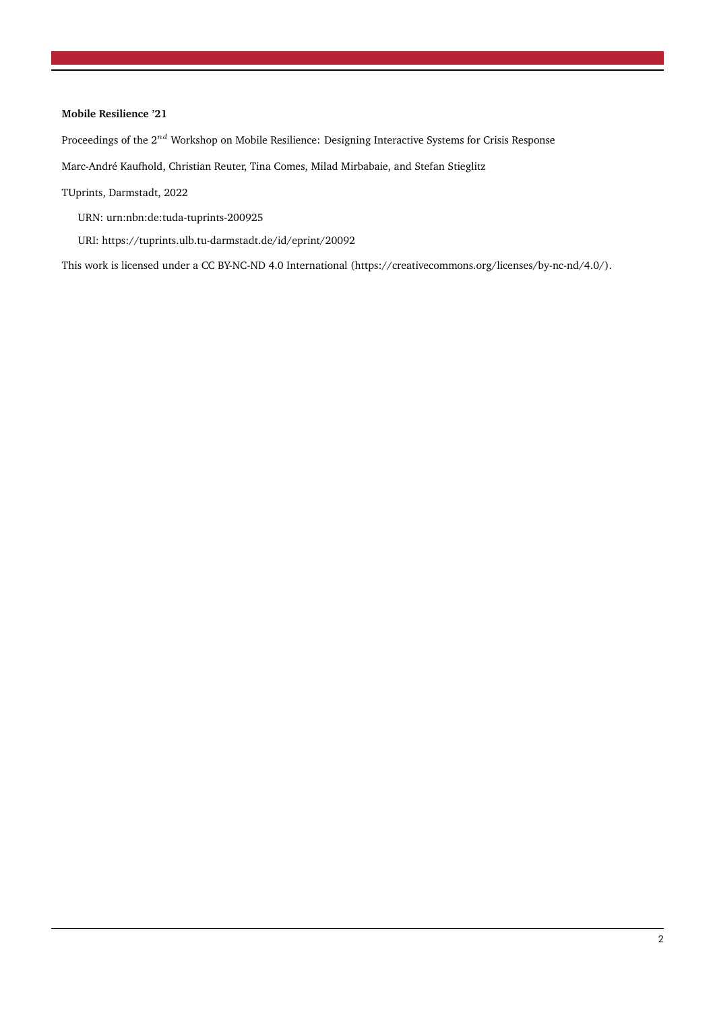# **Mobile Resilience '21**

Proceedings of the  $2^{nd}$  Workshop on Mobile Resilience: Designing Interactive Systems for Crisis Response

Marc-André Kaufhold, Christian Reuter, Tina Comes, Milad Mirbabaie, and Stefan Stieglitz

TUprints, Darmstadt, 2022

URN: urn:nbn:de:tuda-tuprints-200925

URI: https://tuprints.ulb.tu-darmstadt.de/id/eprint/20092

This work is licensed under a CC BY-NC-ND 4.0 International [\(https://creativecommons.org/licenses/by-nc-nd/4.0/\)](#page-16-0).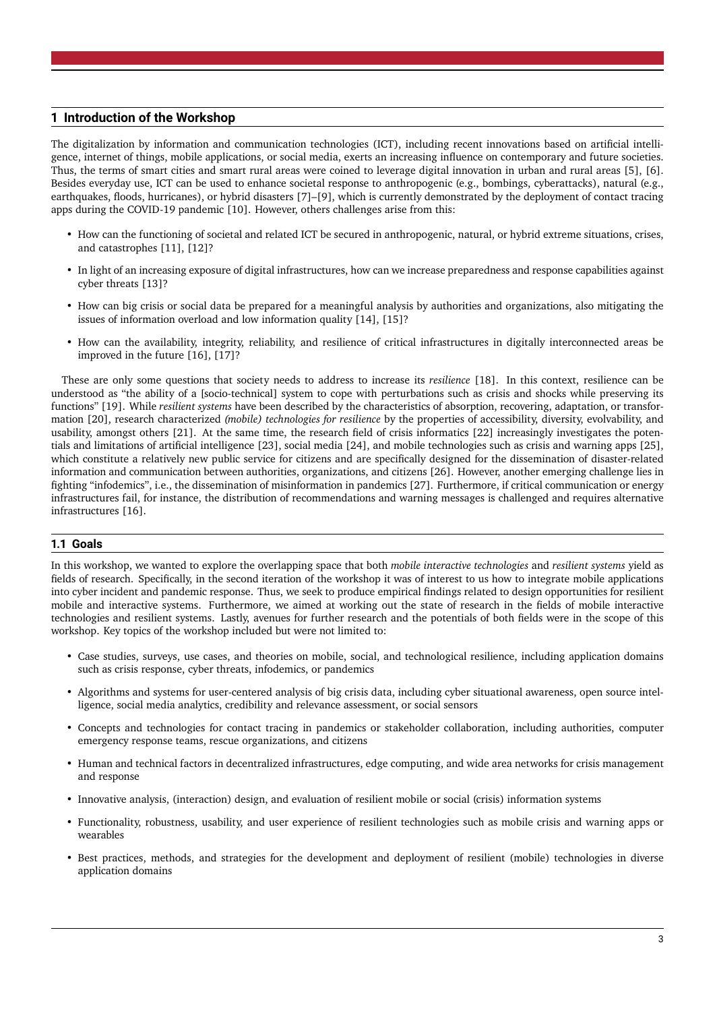# <span id="page-2-0"></span>**1 Introduction of the Workshop**

The digitalization by information and communication technologies (ICT), including recent innovations based on artificial intelligence, internet of things, mobile applications, or social media, exerts an increasing influence on contemporary and future societies. Thus, the terms of smart cities and smart rural areas were coined to leverage digital innovation in urban and rural areas [\[5\]](#page-15-4), [\[6\]](#page-15-5). Besides everyday use, ICT can be used to enhance societal response to anthropogenic (e.g., bombings, cyberattacks), natural (e.g., earthquakes, floods, hurricanes), or hybrid disasters [\[7\]](#page-15-6)–[\[9\]](#page-15-7), which is currently demonstrated by the deployment of contact tracing apps during the COVID-19 pandemic [\[10\]](#page-15-8). However, others challenges arise from this:

- How can the functioning of societal and related ICT be secured in anthropogenic, natural, or hybrid extreme situations, crises, and catastrophes [\[11\]](#page-15-9), [\[12\]](#page-15-10)?
- In light of an increasing exposure of digital infrastructures, how can we increase preparedness and response capabilities against cyber threats [\[13\]](#page-15-11)?
- How can big crisis or social data be prepared for a meaningful analysis by authorities and organizations, also mitigating the issues of information overload and low information quality [\[14\]](#page-15-12), [\[15\]](#page-15-13)?
- How can the availability, integrity, reliability, and resilience of critical infrastructures in digitally interconnected areas be improved in the future [\[16\]](#page-15-14), [\[17\]](#page-15-15)?

These are only some questions that society needs to address to increase its *resilience* [\[18\]](#page-15-16). In this context, resilience can be understood as "the ability of a [socio-technical] system to cope with perturbations such as crisis and shocks while preserving its functions" [\[19\]](#page-15-17). While *resilient systems* have been described by the characteristics of absorption, recovering, adaptation, or transformation [\[20\]](#page-16-1), research characterized *(mobile) technologies for resilience* by the properties of accessibility, diversity, evolvability, and usability, amongst others [\[21\]](#page-16-2). At the same time, the research field of crisis informatics [\[22\]](#page-16-3) increasingly investigates the potentials and limitations of artificial intelligence [\[23\]](#page-16-4), social media [\[24\]](#page-16-5), and mobile technologies such as crisis and warning apps [\[25\]](#page-16-6), which constitute a relatively new public service for citizens and are specifically designed for the dissemination of disaster-related information and communication between authorities, organizations, and citizens [\[26\]](#page-16-7). However, another emerging challenge lies in fighting "infodemics", i.e., the dissemination of misinformation in pandemics [\[27\]](#page-16-8). Furthermore, if critical communication or energy infrastructures fail, for instance, the distribution of recommendations and warning messages is challenged and requires alternative infrastructures [\[16\]](#page-15-14).

## <span id="page-2-1"></span>**1.1 Goals**

In this workshop, we wanted to explore the overlapping space that both *mobile interactive technologies* and *resilient systems* yield as fields of research. Specifically, in the second iteration of the workshop it was of interest to us how to integrate mobile applications into cyber incident and pandemic response. Thus, we seek to produce empirical findings related to design opportunities for resilient mobile and interactive systems. Furthermore, we aimed at working out the state of research in the fields of mobile interactive technologies and resilient systems. Lastly, avenues for further research and the potentials of both fields were in the scope of this workshop. Key topics of the workshop included but were not limited to:

- Case studies, surveys, use cases, and theories on mobile, social, and technological resilience, including application domains such as crisis response, cyber threats, infodemics, or pandemics
- Algorithms and systems for user-centered analysis of big crisis data, including cyber situational awareness, open source intelligence, social media analytics, credibility and relevance assessment, or social sensors
- Concepts and technologies for contact tracing in pandemics or stakeholder collaboration, including authorities, computer emergency response teams, rescue organizations, and citizens
- Human and technical factors in decentralized infrastructures, edge computing, and wide area networks for crisis management and response
- Innovative analysis, (interaction) design, and evaluation of resilient mobile or social (crisis) information systems
- Functionality, robustness, usability, and user experience of resilient technologies such as mobile crisis and warning apps or wearables
- Best practices, methods, and strategies for the development and deployment of resilient (mobile) technologies in diverse application domains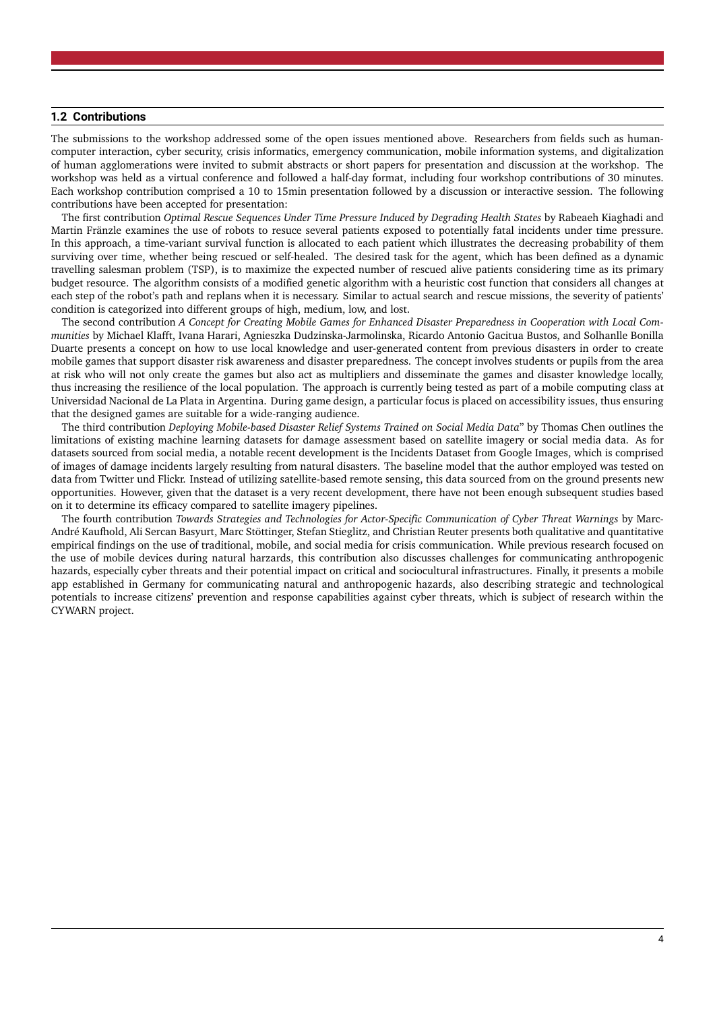#### <span id="page-3-0"></span>**1.2 Contributions**

The submissions to the workshop addressed some of the open issues mentioned above. Researchers from fields such as humancomputer interaction, cyber security, crisis informatics, emergency communication, mobile information systems, and digitalization of human agglomerations were invited to submit abstracts or short papers for presentation and discussion at the workshop. The workshop was held as a virtual conference and followed a half-day format, including four workshop contributions of 30 minutes. Each workshop contribution comprised a 10 to 15min presentation followed by a discussion or interactive session. The following contributions have been accepted for presentation:

The first contribution *Optimal Rescue Sequences Under Time Pressure Induced by Degrading Health States* by Rabeaeh Kiaghadi and Martin Fränzle examines the use of robots to resuce several patients exposed to potentially fatal incidents under time pressure. In this approach, a time-variant survival function is allocated to each patient which illustrates the decreasing probability of them surviving over time, whether being rescued or self-healed. The desired task for the agent, which has been defined as a dynamic travelling salesman problem (TSP), is to maximize the expected number of rescued alive patients considering time as its primary budget resource. The algorithm consists of a modified genetic algorithm with a heuristic cost function that considers all changes at each step of the robot's path and replans when it is necessary. Similar to actual search and rescue missions, the severity of patients' condition is categorized into different groups of high, medium, low, and lost.

The second contribution *A Concept for Creating Mobile Games for Enhanced Disaster Preparedness in Cooperation with Local Communities* by Michael Klafft, Ivana Harari, Agnieszka Dudzinska-Jarmolinska, Ricardo Antonio Gacitua Bustos, and Solhanlle Bonilla Duarte presents a concept on how to use local knowledge and user-generated content from previous disasters in order to create mobile games that support disaster risk awareness and disaster preparedness. The concept involves students or pupils from the area at risk who will not only create the games but also act as multipliers and disseminate the games and disaster knowledge locally, thus increasing the resilience of the local population. The approach is currently being tested as part of a mobile computing class at Universidad Nacional de La Plata in Argentina. During game design, a particular focus is placed on accessibility issues, thus ensuring that the designed games are suitable for a wide-ranging audience.

The third contribution *Deploying Mobile-based Disaster Relief Systems Trained on Social Media Data*" by Thomas Chen outlines the limitations of existing machine learning datasets for damage assessment based on satellite imagery or social media data. As for datasets sourced from social media, a notable recent development is the Incidents Dataset from Google Images, which is comprised of images of damage incidents largely resulting from natural disasters. The baseline model that the author employed was tested on data from Twitter und Flickr. Instead of utilizing satellite-based remote sensing, this data sourced from on the ground presents new opportunities. However, given that the dataset is a very recent development, there have not been enough subsequent studies based on it to determine its efficacy compared to satellite imagery pipelines.

The fourth contribution *Towards Strategies and Technologies for Actor-Specific Communication of Cyber Threat Warnings* by Marc-André Kaufhold, Ali Sercan Basyurt, Marc Stöttinger, Stefan Stieglitz, and Christian Reuter presents both qualitative and quantitative empirical findings on the use of traditional, mobile, and social media for crisis communication. While previous research focused on the use of mobile devices during natural harzards, this contribution also discusses challenges for communicating anthropogenic hazards, especially cyber threats and their potential impact on critical and sociocultural infrastructures. Finally, it presents a mobile app established in Germany for communicating natural and anthropogenic hazards, also describing strategic and technological potentials to increase citizens' prevention and response capabilities against cyber threats, which is subject of research within the CYWARN project.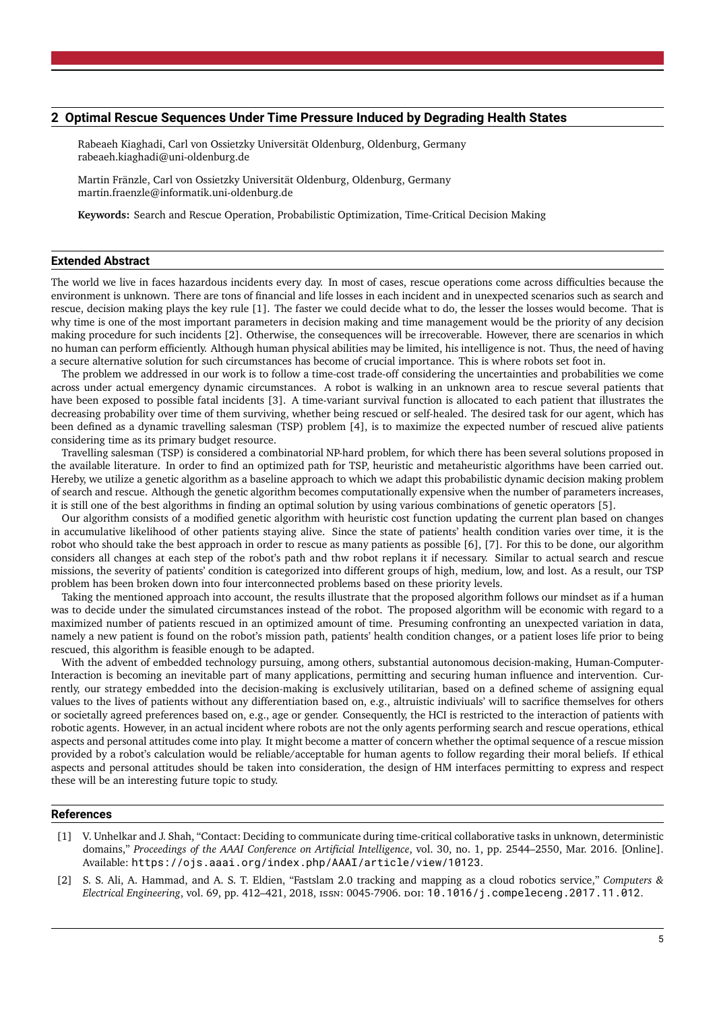#### <span id="page-4-0"></span>**2 Optimal Rescue Sequences Under Time Pressure Induced by Degrading Health States**

Rabeaeh Kiaghadi, Carl von Ossietzky Universität Oldenburg, Oldenburg, Germany [rabeaeh.kiaghadi@uni-oldenburg.de](mailto:rabeaeh.kiaghadi@uni-oldenburg.de)

Martin Fränzle, Carl von Ossietzky Universität Oldenburg, Oldenburg, Germany [martin.fraenzle@informatik.uni-oldenburg.de](mailto:martin.fraenzle@informatik.uni-oldenburg.de)

**Keywords:** Search and Rescue Operation, Probabilistic Optimization, Time-Critical Decision Making

## **Extended Abstract**

The world we live in faces hazardous incidents every day. In most of cases, rescue operations come across difficulties because the environment is unknown. There are tons of financial and life losses in each incident and in unexpected scenarios such as search and rescue, decision making plays the key rule [\[1\]](#page-4-1). The faster we could decide what to do, the lesser the losses would become. That is why time is one of the most important parameters in decision making and time management would be the priority of any decision making procedure for such incidents [\[2\]](#page-4-2). Otherwise, the consequences will be irrecoverable. However, there are scenarios in which no human can perform efficiently. Although human physical abilities may be limited, his intelligence is not. Thus, the need of having a secure alternative solution for such circumstances has become of crucial importance. This is where robots set foot in.

The problem we addressed in our work is to follow a time-cost trade-off considering the uncertainties and probabilities we come across under actual emergency dynamic circumstances. A robot is walking in an unknown area to rescue several patients that have been exposed to possible fatal incidents [\[3\]](#page-5-0). A time-variant survival function is allocated to each patient that illustrates the decreasing probability over time of them surviving, whether being rescued or self-healed. The desired task for our agent, which has been defined as a dynamic travelling salesman (TSP) problem [\[4\]](#page-5-1), is to maximize the expected number of rescued alive patients considering time as its primary budget resource.

Travelling salesman (TSP) is considered a combinatorial NP-hard problem, for which there has been several solutions proposed in the available literature. In order to find an optimized path for TSP, heuristic and metaheuristic algorithms have been carried out. Hereby, we utilize a genetic algorithm as a baseline approach to which we adapt this probabilistic dynamic decision making problem of search and rescue. Although the genetic algorithm becomes computationally expensive when the number of parameters increases, it is still one of the best algorithms in finding an optimal solution by using various combinations of genetic operators [\[5\]](#page-5-2).

Our algorithm consists of a modified genetic algorithm with heuristic cost function updating the current plan based on changes in accumulative likelihood of other patients staying alive. Since the state of patients' health condition varies over time, it is the robot who should take the best approach in order to rescue as many patients as possible [\[6\]](#page-5-3), [\[7\]](#page-5-4). For this to be done, our algorithm considers all changes at each step of the robot's path and thw robot replans it if necessary. Similar to actual search and rescue missions, the severity of patients' condition is categorized into different groups of high, medium, low, and lost. As a result, our TSP problem has been broken down into four interconnected problems based on these priority levels.

Taking the mentioned approach into account, the results illustrate that the proposed algorithm follows our mindset as if a human was to decide under the simulated circumstances instead of the robot. The proposed algorithm will be economic with regard to a maximized number of patients rescued in an optimized amount of time. Presuming confronting an unexpected variation in data, namely a new patient is found on the robot's mission path, patients' health condition changes, or a patient loses life prior to being rescued, this algorithm is feasible enough to be adapted.

With the advent of embedded technology pursuing, among others, substantial autonomous decision-making, Human-Computer-Interaction is becoming an inevitable part of many applications, permitting and securing human influence and intervention. Currently, our strategy embedded into the decision-making is exclusively utilitarian, based on a defined scheme of assigning equal values to the lives of patients without any differentiation based on, e.g., altruistic indiviuals' will to sacrifice themselves for others or societally agreed preferences based on, e.g., age or gender. Consequently, the HCI is restricted to the interaction of patients with robotic agents. However, in an actual incident where robots are not the only agents performing search and rescue operations, ethical aspects and personal attitudes come into play. It might become a matter of concern whether the optimal sequence of a rescue mission provided by a robot's calculation would be reliable/acceptable for human agents to follow regarding their moral beliefs. If ethical aspects and personal attitudes should be taken into consideration, the design of HM interfaces permitting to express and respect these will be an interesting future topic to study.

#### **References**

- <span id="page-4-1"></span>[1] V. Unhelkar and J. Shah, "Contact: Deciding to communicate during time-critical collaborative tasks in unknown, deterministic domains," *Proceedings of the AAAI Conference on Artificial Intelligence*, vol. 30, no. 1, pp. 2544–2550, Mar. 2016. [Online]. Available: <https://ojs.aaai.org/index.php/AAAI/article/view/10123>.
- <span id="page-4-2"></span>[2] S. S. Ali, A. Hammad, and A. S. T. Eldien, "Fastslam 2.0 tracking and mapping as a cloud robotics service," *Computers & Electrical Engineering*, vol. 69, pp. 412–421, 2018, issn: 0045-7906. doi: [10.1016/j.compeleceng.2017.11.012](https://doi.org/10.1016/j.compeleceng.2017.11.012).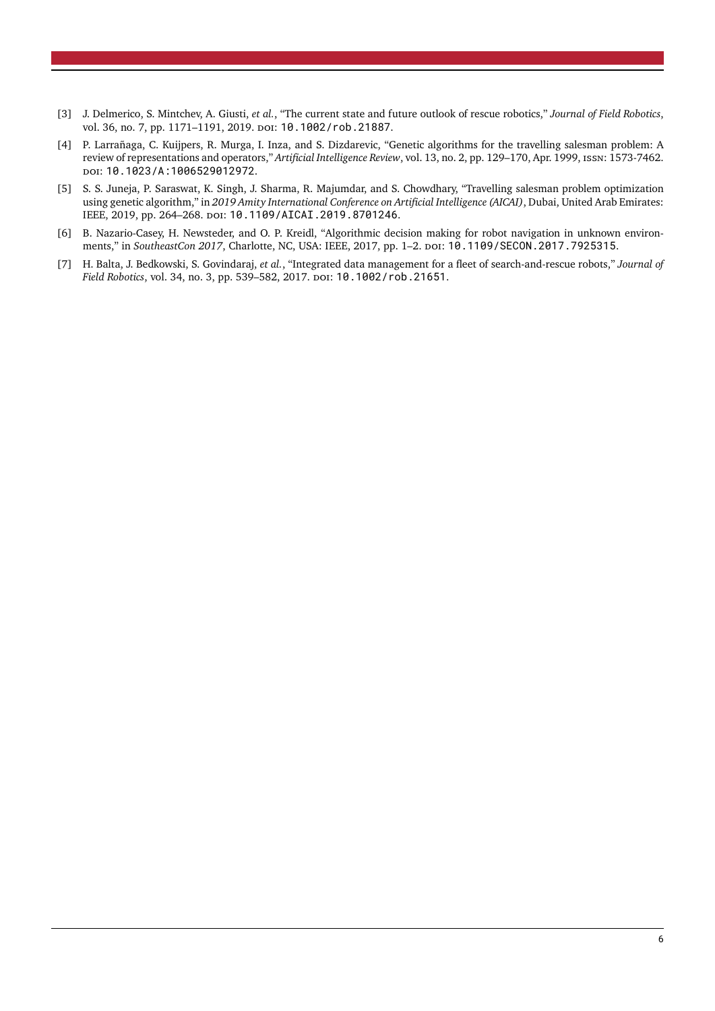- <span id="page-5-0"></span>[3] J. Delmerico, S. Mintchev, A. Giusti, *et al.*, "The current state and future outlook of rescue robotics," *Journal of Field Robotics*, vol. 36, no. 7, pp. 1171-1191, 2019. poi: [10.1002/rob.21887](https://doi.org/10.1002/rob.21887).
- <span id="page-5-1"></span>[4] P. Larrañaga, C. Kuijpers, R. Murga, I. Inza, and S. Dizdarevic, "Genetic algorithms for the travelling salesman problem: A review of representations and operators," *Artificial Intelligence Review*, vol. 13, no. 2, pp. 129–170, Apr. 1999, issn: 1573-7462. doi: [10.1023/A:1006529012972](https://doi.org/10.1023/A:1006529012972).
- <span id="page-5-2"></span>[5] S. S. Juneja, P. Saraswat, K. Singh, J. Sharma, R. Majumdar, and S. Chowdhary, "Travelling salesman problem optimization using genetic algorithm," in *2019 Amity International Conference on Artificial Intelligence (AICAI)*, Dubai, United Arab Emirates: IEEE, 2019, pp. 264–268. doi: [10.1109/AICAI.2019.8701246](https://doi.org/10.1109/AICAI.2019.8701246).
- <span id="page-5-3"></span>[6] B. Nazario-Casey, H. Newsteder, and O. P. Kreidl, "Algorithmic decision making for robot navigation in unknown environments," in *SoutheastCon 2017*, Charlotte, NC, USA: IEEE, 2017, pp. 1-2. poi: [10.1109/SECON.2017.7925315](https://doi.org/10.1109/SECON.2017.7925315).
- <span id="page-5-4"></span>[7] H. Balta, J. Bedkowski, S. Govindaraj, *et al.*, "Integrated data management for a fleet of search-and-rescue robots," *Journal of Field Robotics*, vol. 34, no. 3, pp. 539-582, 2017. DOI: [10.1002/rob.21651](https://doi.org/10.1002/rob.21651).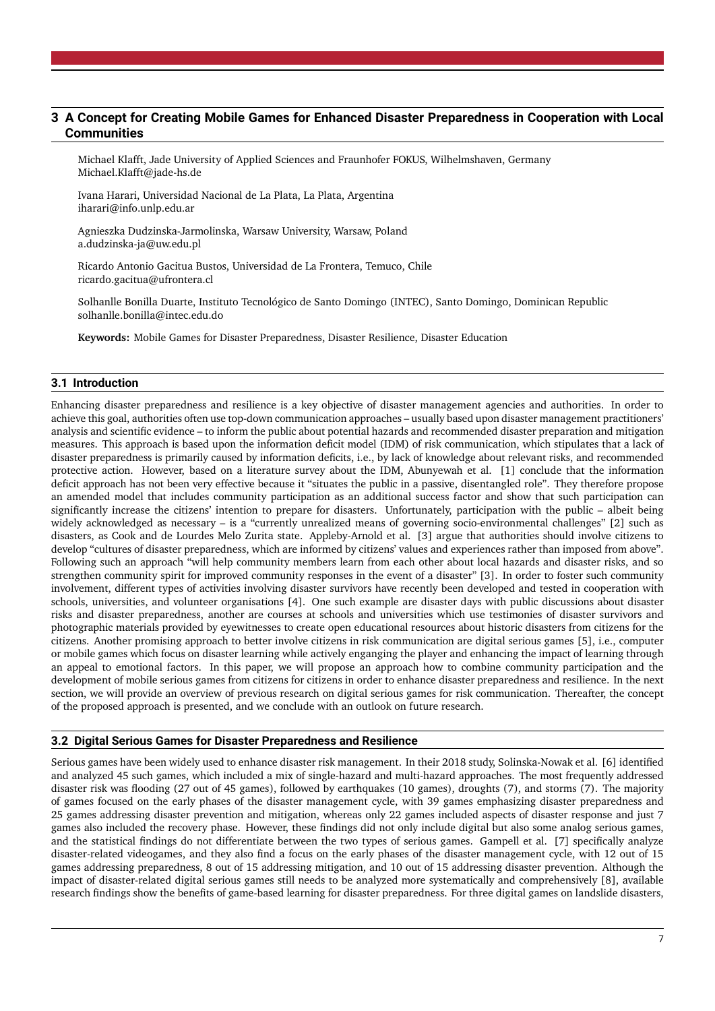# <span id="page-6-0"></span>**3 A Concept for Creating Mobile Games for Enhanced Disaster Preparedness in Cooperation with Local Communities**

Michael Klafft, Jade University of Applied Sciences and Fraunhofer FOKUS, Wilhelmshaven, Germany [Michael.Klafft@jade-hs.de](mailto:Michael.Klafft@jade-hs.de)

Ivana Harari, Universidad Nacional de La Plata, La Plata, Argentina [iharari@info.unlp.edu.ar](mailto:iharari@info.unlp.edu.ar)

Agnieszka Dudzinska-Jarmolinska, Warsaw University, Warsaw, Poland [a.dudzinska-ja@uw.edu.pl](mailto:a.dudzinska-ja@uw.edu.pl)

Ricardo Antonio Gacitua Bustos, Universidad de La Frontera, Temuco, Chile [ricardo.gacitua@ufrontera.cl](mailto:ricardo.gacitua@ufrontera.cl)

Solhanlle Bonilla Duarte, Instituto Tecnológico de Santo Domingo (INTEC), Santo Domingo, Dominican Republic [solhanlle.bonilla@intec.edu.do](mailto:solhanlle.bonilla@intec.edu.do)

**Keywords:** Mobile Games for Disaster Preparedness, Disaster Resilience, Disaster Education

# <span id="page-6-1"></span>**3.1 Introduction**

Enhancing disaster preparedness and resilience is a key objective of disaster management agencies and authorities. In order to achieve this goal, authorities often use top-down communication approaches – usually based upon disaster management practitioners' analysis and scientific evidence – to inform the public about potential hazards and recommended disaster preparation and mitigation measures. This approach is based upon the information deficit model (IDM) of risk communication, which stipulates that a lack of disaster preparedness is primarily caused by information deficits, i.e., by lack of knowledge about relevant risks, and recommended protective action. However, based on a literature survey about the IDM, Abunyewah et al. [\[1\]](#page-9-1) conclude that the information deficit approach has not been very effective because it "situates the public in a passive, disentangled role". They therefore propose an amended model that includes community participation as an additional success factor and show that such participation can significantly increase the citizens' intention to prepare for disasters. Unfortunately, participation with the public – albeit being widely acknowledged as necessary – is a "currently unrealized means of governing socio-environmental challenges" [\[2\]](#page-9-2) such as disasters, as Cook and de Lourdes Melo Zurita state. Appleby-Arnold et al. [\[3\]](#page-9-3) argue that authorities should involve citizens to develop "cultures of disaster preparedness, which are informed by citizens' values and experiences rather than imposed from above". Following such an approach "will help community members learn from each other about local hazards and disaster risks, and so strengthen community spirit for improved community responses in the event of a disaster" [\[3\]](#page-9-3). In order to foster such community involvement, different types of activities involving disaster survivors have recently been developed and tested in cooperation with schools, universities, and volunteer organisations [\[4\]](#page-9-4). One such example are disaster days with public discussions about disaster risks and disaster preparedness, another are courses at schools and universities which use testimonies of disaster survivors and photographic materials provided by eyewitnesses to create open educational resources about historic disasters from citizens for the citizens. Another promising approach to better involve citizens in risk communication are digital serious games [\[5\]](#page-9-5), i.e., computer or mobile games which focus on disaster learning while actively enganging the player and enhancing the impact of learning through an appeal to emotional factors. In this paper, we will propose an approach how to combine community participation and the development of mobile serious games from citizens for citizens in order to enhance disaster preparedness and resilience. In the next section, we will provide an overview of previous research on digital serious games for risk communication. Thereafter, the concept of the proposed approach is presented, and we conclude with an outlook on future research.

## <span id="page-6-2"></span>**3.2 Digital Serious Games for Disaster Preparedness and Resilience**

Serious games have been widely used to enhance disaster risk management. In their 2018 study, Solinska-Nowak et al. [\[6\]](#page-9-6) identified and analyzed 45 such games, which included a mix of single-hazard and multi-hazard approaches. The most frequently addressed disaster risk was flooding (27 out of 45 games), followed by earthquakes (10 games), droughts (7), and storms (7). The majority of games focused on the early phases of the disaster management cycle, with 39 games emphasizing disaster preparedness and 25 games addressing disaster prevention and mitigation, whereas only 22 games included aspects of disaster response and just 7 games also included the recovery phase. However, these findings did not only include digital but also some analog serious games, and the statistical findings do not differentiate between the two types of serious games. Gampell et al. [\[7\]](#page-9-7) specifically analyze disaster-related videogames, and they also find a focus on the early phases of the disaster management cycle, with 12 out of 15 games addressing preparedness, 8 out of 15 addressing mitigation, and 10 out of 15 addressing disaster prevention. Although the impact of disaster-related digital serious games still needs to be analyzed more systematically and comprehensively [\[8\]](#page-9-8), available research findings show the benefits of game-based learning for disaster preparedness. For three digital games on landslide disasters,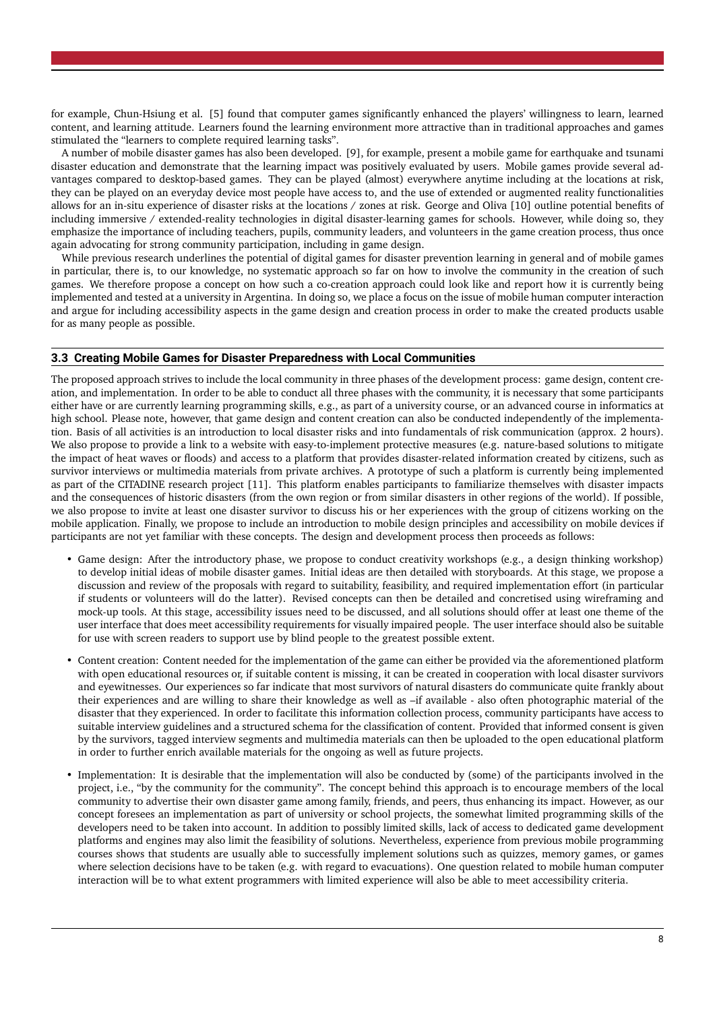for example, Chun-Hsiung et al. [\[5\]](#page-9-5) found that computer games significantly enhanced the players' willingness to learn, learned content, and learning attitude. Learners found the learning environment more attractive than in traditional approaches and games stimulated the "learners to complete required learning tasks".

A number of mobile disaster games has also been developed. [\[9\]](#page-9-9), for example, present a mobile game for earthquake and tsunami disaster education and demonstrate that the learning impact was positively evaluated by users. Mobile games provide several advantages compared to desktop-based games. They can be played (almost) everywhere anytime including at the locations at risk, they can be played on an everyday device most people have access to, and the use of extended or augmented reality functionalities allows for an in-situ experience of disaster risks at the locations / zones at risk. George and Oliva [\[10\]](#page-9-10) outline potential benefits of including immersive / extended-reality technologies in digital disaster-learning games for schools. However, while doing so, they emphasize the importance of including teachers, pupils, community leaders, and volunteers in the game creation process, thus once again advocating for strong community participation, including in game design.

While previous research underlines the potential of digital games for disaster prevention learning in general and of mobile games in particular, there is, to our knowledge, no systematic approach so far on how to involve the community in the creation of such games. We therefore propose a concept on how such a co-creation approach could look like and report how it is currently being implemented and tested at a university in Argentina. In doing so, we place a focus on the issue of mobile human computer interaction and argue for including accessibility aspects in the game design and creation process in order to make the created products usable for as many people as possible.

#### <span id="page-7-0"></span>**3.3 Creating Mobile Games for Disaster Preparedness with Local Communities**

The proposed approach strives to include the local community in three phases of the development process: game design, content creation, and implementation. In order to be able to conduct all three phases with the community, it is necessary that some participants either have or are currently learning programming skills, e.g., as part of a university course, or an advanced course in informatics at high school. Please note, however, that game design and content creation can also be conducted independently of the implementation. Basis of all activities is an introduction to local disaster risks and into fundamentals of risk communication (approx. 2 hours). We also propose to provide a link to a website with easy-to-implement protective measures (e.g. nature-based solutions to mitigate the impact of heat waves or floods) and access to a platform that provides disaster-related information created by citizens, such as survivor interviews or multimedia materials from private archives. A prototype of such a platform is currently being implemented as part of the CITADINE research project [\[11\]](#page-9-11). This platform enables participants to familiarize themselves with disaster impacts and the consequences of historic disasters (from the own region or from similar disasters in other regions of the world). If possible, we also propose to invite at least one disaster survivor to discuss his or her experiences with the group of citizens working on the mobile application. Finally, we propose to include an introduction to mobile design principles and accessibility on mobile devices if participants are not yet familiar with these concepts. The design and development process then proceeds as follows:

- Game design: After the introductory phase, we propose to conduct creativity workshops (e.g., a design thinking workshop) to develop initial ideas of mobile disaster games. Initial ideas are then detailed with storyboards. At this stage, we propose a discussion and review of the proposals with regard to suitability, feasibility, and required implementation effort (in particular if students or volunteers will do the latter). Revised concepts can then be detailed and concretised using wireframing and mock-up tools. At this stage, accessibility issues need to be discussed, and all solutions should offer at least one theme of the user interface that does meet accessibility requirements for visually impaired people. The user interface should also be suitable for use with screen readers to support use by blind people to the greatest possible extent.
- Content creation: Content needed for the implementation of the game can either be provided via the aforementioned platform with open educational resources or, if suitable content is missing, it can be created in cooperation with local disaster survivors and eyewitnesses. Our experiences so far indicate that most survivors of natural disasters do communicate quite frankly about their experiences and are willing to share their knowledge as well as –if available - also often photographic material of the disaster that they experienced. In order to facilitate this information collection process, community participants have access to suitable interview guidelines and a structured schema for the classification of content. Provided that informed consent is given by the survivors, tagged interview segments and multimedia materials can then be uploaded to the open educational platform in order to further enrich available materials for the ongoing as well as future projects.
- Implementation: It is desirable that the implementation will also be conducted by (some) of the participants involved in the project, i.e., "by the community for the community". The concept behind this approach is to encourage members of the local community to advertise their own disaster game among family, friends, and peers, thus enhancing its impact. However, as our concept foresees an implementation as part of university or school projects, the somewhat limited programming skills of the developers need to be taken into account. In addition to possibly limited skills, lack of access to dedicated game development platforms and engines may also limit the feasibility of solutions. Nevertheless, experience from previous mobile programming courses shows that students are usually able to successfully implement solutions such as quizzes, memory games, or games where selection decisions have to be taken (e.g. with regard to evacuations). One question related to mobile human computer interaction will be to what extent programmers with limited experience will also be able to meet accessibility criteria.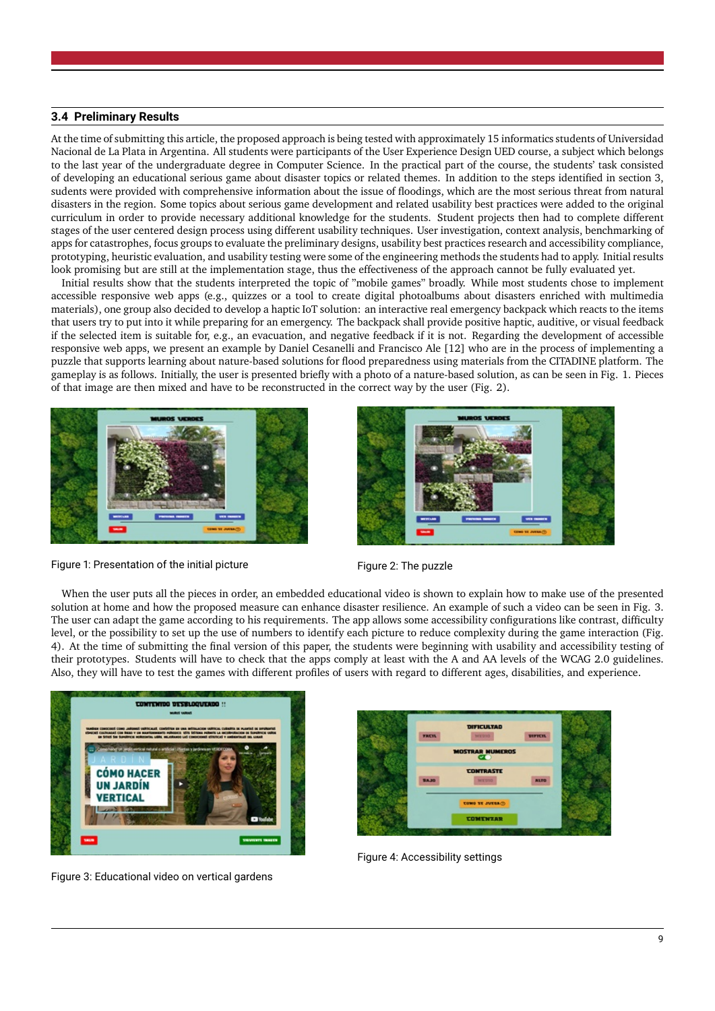## <span id="page-8-0"></span>**3.4 Preliminary Results**

At the time of submitting this article, the proposed approach is being tested with approximately 15 informatics students of Universidad Nacional de La Plata in Argentina. All students were participants of the User Experience Design UED course, a subject which belongs to the last year of the undergraduate degree in Computer Science. In the practical part of the course, the students' task consisted of developing an educational serious game about disaster topics or related themes. In addition to the steps identified in section 3, sudents were provided with comprehensive information about the issue of floodings, which are the most serious threat from natural disasters in the region. Some topics about serious game development and related usability best practices were added to the original curriculum in order to provide necessary additional knowledge for the students. Student projects then had to complete different stages of the user centered design process using different usability techniques. User investigation, context analysis, benchmarking of apps for catastrophes, focus groups to evaluate the preliminary designs, usability best practices research and accessibility compliance, prototyping, heuristic evaluation, and usability testing were some of the engineering methods the students had to apply. Initial results look promising but are still at the implementation stage, thus the effectiveness of the approach cannot be fully evaluated yet.

Initial results show that the students interpreted the topic of "mobile games" broadly. While most students chose to implement accessible responsive web apps (e.g., quizzes or a tool to create digital photoalbums about disasters enriched with multimedia materials), one group also decided to develop a haptic IoT solution: an interactive real emergency backpack which reacts to the items that users try to put into it while preparing for an emergency. The backpack shall provide positive haptic, auditive, or visual feedback if the selected item is suitable for, e.g., an evacuation, and negative feedback if it is not. Regarding the development of accessible responsive web apps, we present an example by Daniel Cesanelli and Francisco Ale [\[12\]](#page-10-0) who are in the process of implementing a puzzle that supports learning about nature-based solutions for flood preparedness using materials from the CITADINE platform. The gameplay is as follows. Initially, the user is presented briefly with a photo of a nature-based solution, as can be seen in Fig. [1.](#page-8-1) Pieces of that image are then mixed and have to be reconstructed in the correct way by the user (Fig. [2\)](#page-8-2).





Figure 1: Presentation of the initial picture Figure 2: The puzzle

<span id="page-8-2"></span>

<span id="page-8-1"></span>When the user puts all the pieces in order, an embedded educational video is shown to explain how to make use of the presented solution at home and how the proposed measure can enhance disaster resilience. An example of such a video can be seen in Fig. [3.](#page-8-3) The user can adapt the game according to his requirements. The app allows some accessibility configurations like contrast, difficulty level, or the possibility to set up the use of numbers to identify each picture to reduce complexity during the game interaction (Fig. [4\)](#page-8-4). At the time of submitting the final version of this paper, the students were beginning with usability and accessibility testing of their prototypes. Students will have to check that the apps comply at least with the A and AA levels of the WCAG 2.0 guidelines. Also, they will have to test the games with different profiles of users with regard to different ages, disabilities, and experience.



<span id="page-8-3"></span>Figure 3: Educational video on vertical gardens



<span id="page-8-4"></span>Figure 4: Accessibility settings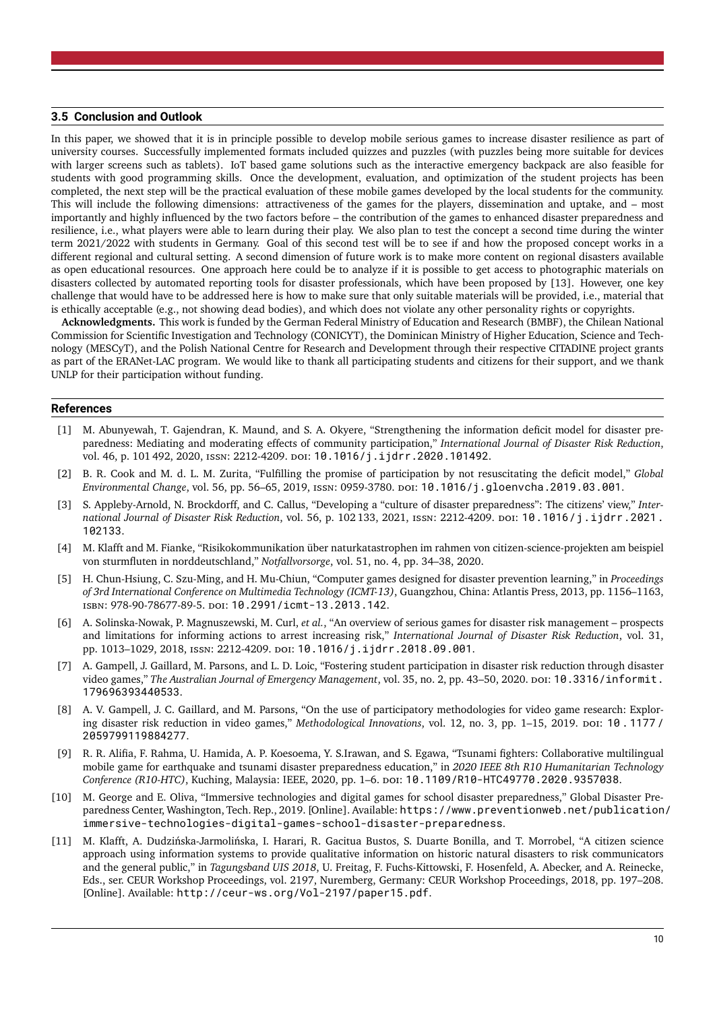#### <span id="page-9-0"></span>**3.5 Conclusion and Outlook**

In this paper, we showed that it is in principle possible to develop mobile serious games to increase disaster resilience as part of university courses. Successfully implemented formats included quizzes and puzzles (with puzzles being more suitable for devices with larger screens such as tablets). IoT based game solutions such as the interactive emergency backpack are also feasible for students with good programming skills. Once the development, evaluation, and optimization of the student projects has been completed, the next step will be the practical evaluation of these mobile games developed by the local students for the community. This will include the following dimensions: attractiveness of the games for the players, dissemination and uptake, and – most importantly and highly influenced by the two factors before – the contribution of the games to enhanced disaster preparedness and resilience, i.e., what players were able to learn during their play. We also plan to test the concept a second time during the winter term 2021/2022 with students in Germany. Goal of this second test will be to see if and how the proposed concept works in a different regional and cultural setting. A second dimension of future work is to make more content on regional disasters available as open educational resources. One approach here could be to analyze if it is possible to get access to photographic materials on disasters collected by automated reporting tools for disaster professionals, which have been proposed by [\[13\]](#page-10-1). However, one key challenge that would have to be addressed here is how to make sure that only suitable materials will be provided, i.e., material that is ethically acceptable (e.g., not showing dead bodies), and which does not violate any other personality rights or copyrights.

**Acknowledgments.** This work is funded by the German Federal Ministry of Education and Research (BMBF), the Chilean National Commission for Scientific Investigation and Technology (CONICYT), the Dominican Ministry of Higher Education, Science and Technology (MESCyT), and the Polish National Centre for Research and Development through their respective CITADINE project grants as part of the ERANet-LAC program. We would like to thank all participating students and citizens for their support, and we thank UNLP for their participation without funding.

#### **References**

- <span id="page-9-1"></span>[1] M. Abunyewah, T. Gajendran, K. Maund, and S. A. Okyere, "Strengthening the information deficit model for disaster preparedness: Mediating and moderating effects of community participation," *International Journal of Disaster Risk Reduction*, vol. 46, p. 101 492, 2020, ISSN: 2212-4209. DOI: [10.1016/j.ijdrr.2020.101492](https://doi.org/10.1016/j.ijdrr.2020.101492).
- <span id="page-9-2"></span>[2] B. R. Cook and M. d. L. M. Zurita, "Fulfilling the promise of participation by not resuscitating the deficit model," *Global Environmental Change*, vol. 56, pp. 56–65, 2019, issn: 0959-3780. doi: [10.1016/j.gloenvcha.2019.03.001](https://doi.org/10.1016/j.gloenvcha.2019.03.001).
- <span id="page-9-3"></span>[3] S. Appleby-Arnold, N. Brockdorff, and C. Callus, "Developing a "culture of disaster preparedness": The citizens' view," *International Journal of Disaster Risk Reduction*, vol. 56, p. 102 133, 2021, issn: 2212-4209. doi: [10.1016/j.ijdrr.2021.](https://doi.org/10.1016/j.ijdrr.2021.102133) [102133](https://doi.org/10.1016/j.ijdrr.2021.102133).
- <span id="page-9-4"></span>[4] M. Klafft and M. Fianke, "Risikokommunikation über naturkatastrophen im rahmen von citizen-science-projekten am beispiel von sturmfluten in norddeutschland," *Notfallvorsorge*, vol. 51, no. 4, pp. 34–38, 2020.
- <span id="page-9-5"></span>[5] H. Chun-Hsiung, C. Szu-Ming, and H. Mu-Chiun, "Computer games designed for disaster prevention learning," in *Proceedings of 3rd International Conference on Multimedia Technology (ICMT-13)*, Guangzhou, China: Atlantis Press, 2013, pp. 1156–1163, isbn: 978-90-78677-89-5. doi: [10.2991/icmt-13.2013.142](https://doi.org/10.2991/icmt-13.2013.142).
- <span id="page-9-6"></span>[6] A. Solinska-Nowak, P. Magnuszewski, M. Curl, *et al.*, "An overview of serious games for disaster risk management – prospects and limitations for informing actions to arrest increasing risk," *International Journal of Disaster Risk Reduction*, vol. 31, pp. 1013–1029, 2018, issn: 2212-4209. doi: [10.1016/j.ijdrr.2018.09.001](https://doi.org/10.1016/j.ijdrr.2018.09.001).
- <span id="page-9-7"></span>[7] A. Gampell, J. Gaillard, M. Parsons, and L. D. Loic, "Fostering student participation in disaster risk reduction through disaster video games," The Australian Journal of Emergency Management, vol. 35, no. 2, pp. 43–50, 2020. Do1: [10.3316/informit.](https://doi.org/10.3316/informit.179696393440533) [179696393440533](https://doi.org/10.3316/informit.179696393440533).
- <span id="page-9-8"></span>[8] A. V. Gampell, J. C. Gaillard, and M. Parsons, "On the use of participatory methodologies for video game research: Explor-ing disaster risk reduction in video games," Methodological Innovations, vol. 12, no. 3, pp. 1–15, 2019. poi: [10 . 1177 /](https://doi.org/10.1177/2059799119884277) [2059799119884277](https://doi.org/10.1177/2059799119884277).
- <span id="page-9-9"></span>[9] R. R. Alifia, F. Rahma, U. Hamida, A. P. Koesoema, Y. S.Irawan, and S. Egawa, "Tsunami fighters: Collaborative multilingual mobile game for earthquake and tsunami disaster preparedness education," in *2020 IEEE 8th R10 Humanitarian Technology Conference (R10-HTC)*, Kuching, Malaysia: IEEE, 2020, pp. 1–6. doi: [10.1109/R10-HTC49770.2020.9357038](https://doi.org/10.1109/R10-HTC49770.2020.9357038).
- <span id="page-9-10"></span>[10] M. George and E. Oliva, "Immersive technologies and digital games for school disaster preparedness," Global Disaster Preparedness Center, Washington, Tech. Rep., 2019. [Online]. Available: [https://www.preventionweb.net/publication/](https://www.preventionweb.net/publication/immersive-technologies-digital-games-school-disaster-preparedness) [immersive-technologies-digital-games-school-disaster-preparedness](https://www.preventionweb.net/publication/immersive-technologies-digital-games-school-disaster-preparedness).
- <span id="page-9-11"></span>[11] M. Klafft, A. Dudzińska-Jarmolińska, I. Harari, R. Gacitua Bustos, S. Duarte Bonilla, and T. Morrobel, "A citizen science approach using information systems to provide qualitative information on historic natural disasters to risk communicators and the general public," in *Tagungsband UIS 2018*, U. Freitag, F. Fuchs-Kittowski, F. Hosenfeld, A. Abecker, and A. Reinecke, Eds., ser. CEUR Workshop Proceedings, vol. 2197, Nuremberg, Germany: CEUR Workshop Proceedings, 2018, pp. 197–208. [Online]. Available: <http://ceur-ws.org/Vol-2197/paper15.pdf>.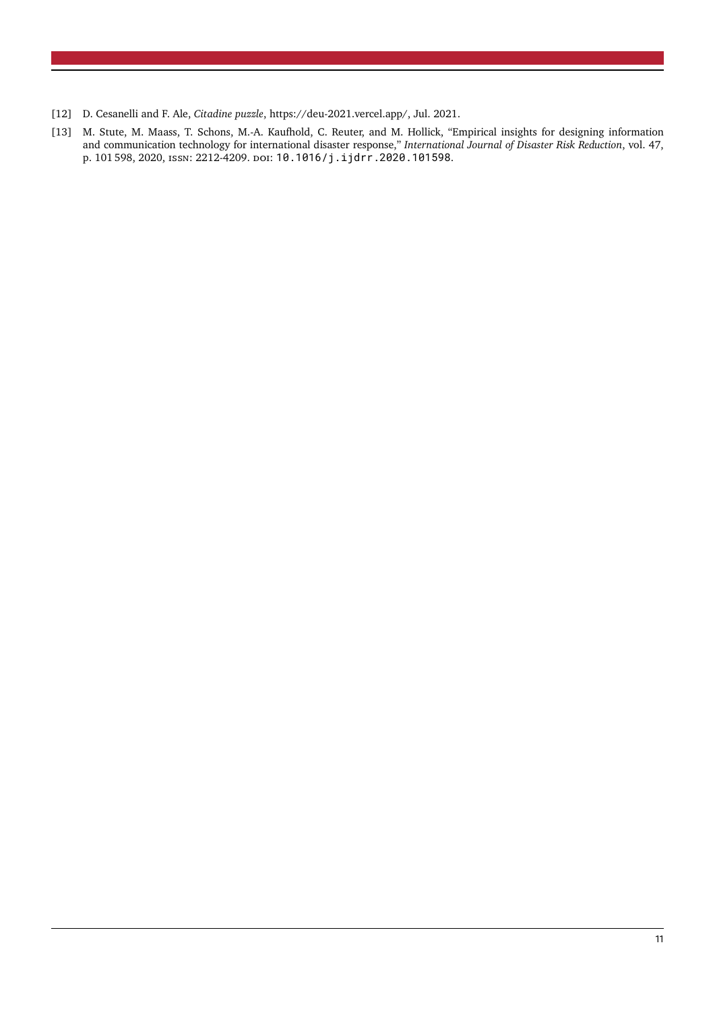- <span id="page-10-0"></span>[12] D. Cesanelli and F. Ale, *Citadine puzzle*, https://deu-2021.vercel.app/, Jul. 2021.
- <span id="page-10-1"></span>[13] M. Stute, M. Maass, T. Schons, M.-A. Kaufhold, C. Reuter, and M. Hollick, "Empirical insights for designing information and communication technology for international disaster response," *International Journal of Disaster Risk Reduction*, vol. 47, p. 101 598, 2020, issn: 2212-4209. doi: [10.1016/j.ijdrr.2020.101598](https://doi.org/10.1016/j.ijdrr.2020.101598).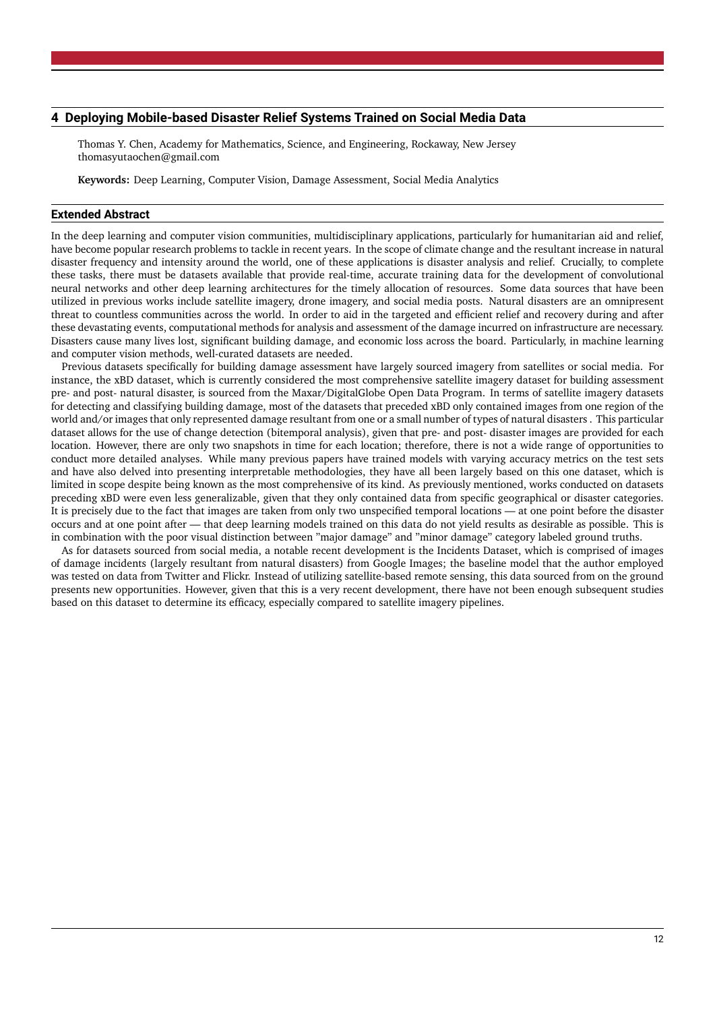## <span id="page-11-0"></span>**4 Deploying Mobile-based Disaster Relief Systems Trained on Social Media Data**

Thomas Y. Chen, Academy for Mathematics, Science, and Engineering, Rockaway, New Jersey [thomasyutaochen@gmail.com](mailto:thomasyutaochen@gmail.com)

**Keywords:** Deep Learning, Computer Vision, Damage Assessment, Social Media Analytics

#### **Extended Abstract**

In the deep learning and computer vision communities, multidisciplinary applications, particularly for humanitarian aid and relief, have become popular research problems to tackle in recent years. In the scope of climate change and the resultant increase in natural disaster frequency and intensity around the world, one of these applications is disaster analysis and relief. Crucially, to complete these tasks, there must be datasets available that provide real-time, accurate training data for the development of convolutional neural networks and other deep learning architectures for the timely allocation of resources. Some data sources that have been utilized in previous works include satellite imagery, drone imagery, and social media posts. Natural disasters are an omnipresent threat to countless communities across the world. In order to aid in the targeted and efficient relief and recovery during and after these devastating events, computational methods for analysis and assessment of the damage incurred on infrastructure are necessary. Disasters cause many lives lost, significant building damage, and economic loss across the board. Particularly, in machine learning and computer vision methods, well-curated datasets are needed.

Previous datasets specifically for building damage assessment have largely sourced imagery from satellites or social media. For instance, the xBD dataset, which is currently considered the most comprehensive satellite imagery dataset for building assessment pre- and post- natural disaster, is sourced from the Maxar/DigitalGlobe Open Data Program. In terms of satellite imagery datasets for detecting and classifying building damage, most of the datasets that preceded xBD only contained images from one region of the world and/or images that only represented damage resultant from one or a small number of types of natural disasters . This particular dataset allows for the use of change detection (bitemporal analysis), given that pre- and post- disaster images are provided for each location. However, there are only two snapshots in time for each location; therefore, there is not a wide range of opportunities to conduct more detailed analyses. While many previous papers have trained models with varying accuracy metrics on the test sets and have also delved into presenting interpretable methodologies, they have all been largely based on this one dataset, which is limited in scope despite being known as the most comprehensive of its kind. As previously mentioned, works conducted on datasets preceding xBD were even less generalizable, given that they only contained data from specific geographical or disaster categories. It is precisely due to the fact that images are taken from only two unspecified temporal locations — at one point before the disaster occurs and at one point after — that deep learning models trained on this data do not yield results as desirable as possible. This is in combination with the poor visual distinction between "major damage" and "minor damage" category labeled ground truths.

As for datasets sourced from social media, a notable recent development is the Incidents Dataset, which is comprised of images of damage incidents (largely resultant from natural disasters) from Google Images; the baseline model that the author employed was tested on data from Twitter and Flickr. Instead of utilizing satellite-based remote sensing, this data sourced from on the ground presents new opportunities. However, given that this is a very recent development, there have not been enough subsequent studies based on this dataset to determine its efficacy, especially compared to satellite imagery pipelines.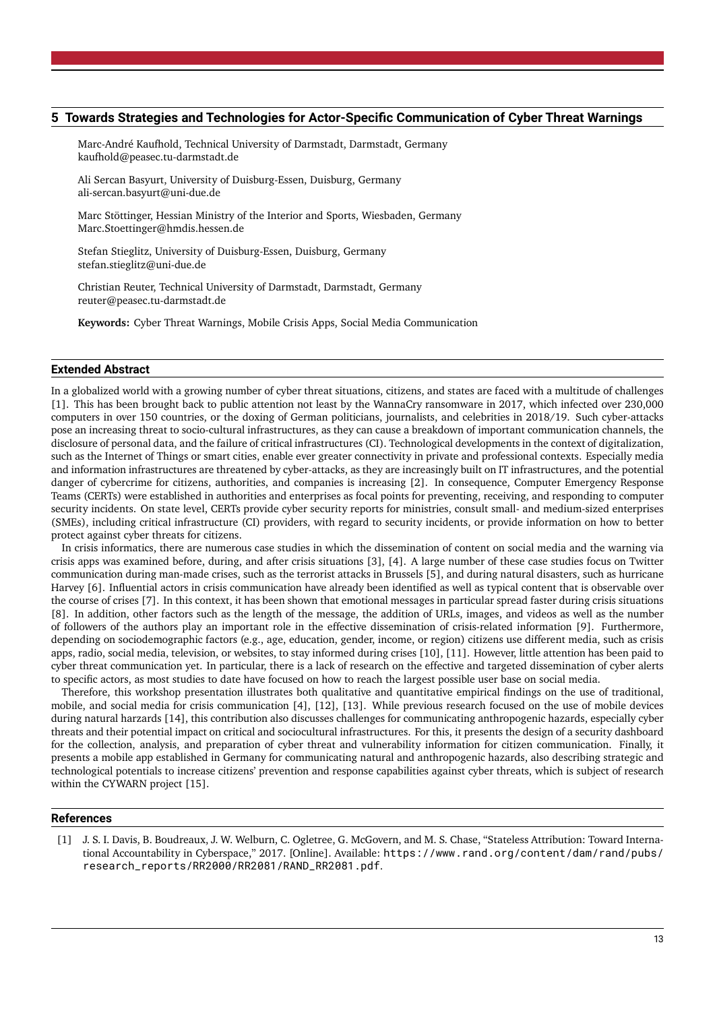## <span id="page-12-0"></span>**5 Towards Strategies and Technologies for Actor-Specific Communication of Cyber Threat Warnings**

Marc-André Kaufhold, Technical University of Darmstadt, Darmstadt, Germany [kaufhold@peasec.tu-darmstadt.de](mailto:kaufhold@peasec.tu-darmstadt.de)

Ali Sercan Basyurt, University of Duisburg-Essen, Duisburg, Germany [ali-sercan.basyurt@uni-due.de](mailto:ali-sercan.basyurt@uni-due.de)

Marc Stöttinger, Hessian Ministry of the Interior and Sports, Wiesbaden, Germany [Marc.Stoettinger@hmdis.hessen.de](mailto:Marc.Stoettinger@hmdis.hessen.de)

Stefan Stieglitz, University of Duisburg-Essen, Duisburg, Germany [stefan.stieglitz@uni-due.de](mailto:stefan.stieglitz@uni-due.de)

Christian Reuter, Technical University of Darmstadt, Darmstadt, Germany [reuter@peasec.tu-darmstadt.de](mailto:reuter@peasec.tu-darmstadt.de)

**Keywords:** Cyber Threat Warnings, Mobile Crisis Apps, Social Media Communication

#### **Extended Abstract**

In a globalized world with a growing number of cyber threat situations, citizens, and states are faced with a multitude of challenges [\[1\]](#page-12-1). This has been brought back to public attention not least by the WannaCry ransomware in 2017, which infected over 230,000 computers in over 150 countries, or the doxing of German politicians, journalists, and celebrities in 2018/19. Such cyber-attacks pose an increasing threat to socio-cultural infrastructures, as they can cause a breakdown of important communication channels, the disclosure of personal data, and the failure of critical infrastructures (CI). Technological developments in the context of digitalization, such as the Internet of Things or smart cities, enable ever greater connectivity in private and professional contexts. Especially media and information infrastructures are threatened by cyber-attacks, as they are increasingly built on IT infrastructures, and the potential danger of cybercrime for citizens, authorities, and companies is increasing [\[2\]](#page-13-0). In consequence, Computer Emergency Response Teams (CERTs) were established in authorities and enterprises as focal points for preventing, receiving, and responding to computer security incidents. On state level, CERTs provide cyber security reports for ministries, consult small- and medium-sized enterprises (SMEs), including critical infrastructure (CI) providers, with regard to security incidents, or provide information on how to better protect against cyber threats for citizens.

In crisis informatics, there are numerous case studies in which the dissemination of content on social media and the warning via crisis apps was examined before, during, and after crisis situations [\[3\]](#page-13-1), [\[4\]](#page-13-2). A large number of these case studies focus on Twitter communication during man-made crises, such as the terrorist attacks in Brussels [\[5\]](#page-13-3), and during natural disasters, such as hurricane Harvey [\[6\]](#page-13-4). Influential actors in crisis communication have already been identified as well as typical content that is observable over the course of crises [\[7\]](#page-13-5). In this context, it has been shown that emotional messages in particular spread faster during crisis situations [\[8\]](#page-13-6). In addition, other factors such as the length of the message, the addition of URLs, images, and videos as well as the number of followers of the authors play an important role in the effective dissemination of crisis-related information [\[9\]](#page-13-7). Furthermore, depending on sociodemographic factors (e.g., age, education, gender, income, or region) citizens use different media, such as crisis apps, radio, social media, television, or websites, to stay informed during crises [\[10\]](#page-13-8), [\[11\]](#page-13-9). However, little attention has been paid to cyber threat communication yet. In particular, there is a lack of research on the effective and targeted dissemination of cyber alerts to specific actors, as most studies to date have focused on how to reach the largest possible user base on social media.

Therefore, this workshop presentation illustrates both qualitative and quantitative empirical findings on the use of traditional, mobile, and social media for crisis communication [\[4\]](#page-13-2), [\[12\]](#page-13-10), [\[13\]](#page-13-11). While previous research focused on the use of mobile devices during natural harzards [\[14\]](#page-13-12), this contribution also discusses challenges for communicating anthropogenic hazards, especially cyber threats and their potential impact on critical and sociocultural infrastructures. For this, it presents the design of a security dashboard for the collection, analysis, and preparation of cyber threat and vulnerability information for citizen communication. Finally, it presents a mobile app established in Germany for communicating natural and anthropogenic hazards, also describing strategic and technological potentials to increase citizens' prevention and response capabilities against cyber threats, which is subject of research within the CYWARN project [\[15\]](#page-13-13).

#### **References**

<span id="page-12-1"></span>[1] J. S. I. Davis, B. Boudreaux, J. W. Welburn, C. Ogletree, G. McGovern, and M. S. Chase, "Stateless Attribution: Toward International Accountability in Cyberspace," 2017. [Online]. Available: [https://www.rand.org/content/dam/rand/pubs/](https://www.rand.org/content/dam/rand/pubs/research_reports/RR2000/RR2081/RAND_RR2081.pdf) [research\\_reports/RR2000/RR2081/RAND\\_RR2081.pdf](https://www.rand.org/content/dam/rand/pubs/research_reports/RR2000/RR2081/RAND_RR2081.pdf).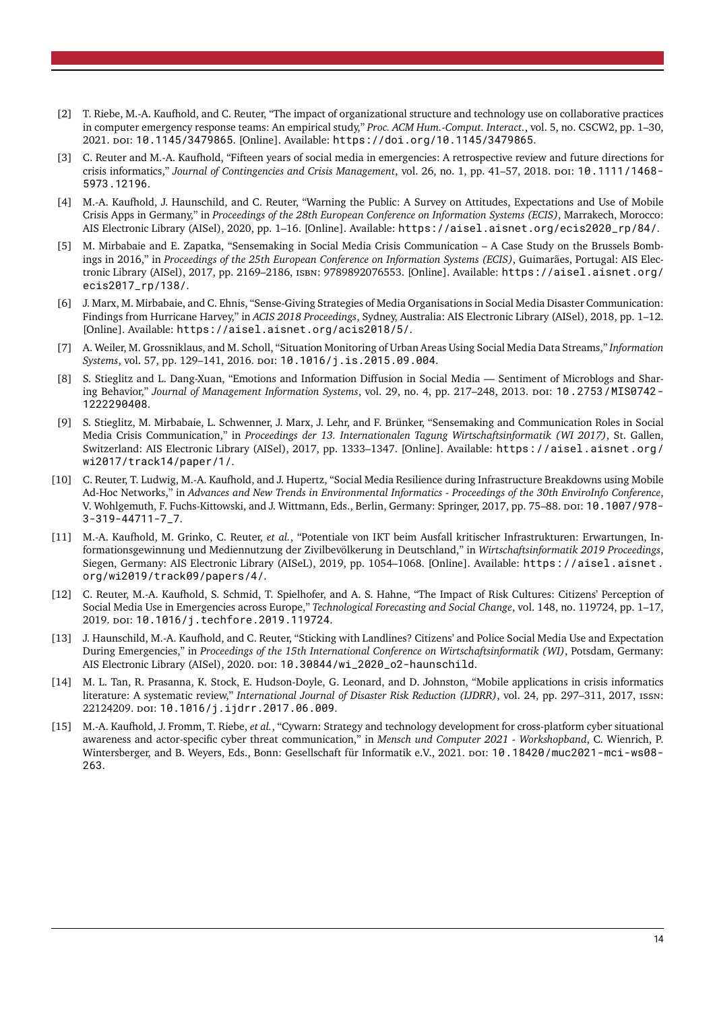- <span id="page-13-0"></span>[2] T. Riebe, M.-A. Kaufhold, and C. Reuter, "The impact of organizational structure and technology use on collaborative practices in computer emergency response teams: An empirical study," *Proc. ACM Hum.-Comput. Interact.*, vol. 5, no. CSCW2, pp. 1–30, 2021. doi: [10.1145/3479865](https://doi.org/10.1145/3479865). [Online]. Available: <https://doi.org/10.1145/3479865>.
- <span id="page-13-1"></span>[3] C. Reuter and M.-A. Kaufhold, "Fifteen years of social media in emergencies: A retrospective review and future directions for crisis informatics," *Journal of Contingencies and Crisis Management*, vol. 26, no. 1, pp. 41–57, 2018. poi: [10.1111/1468-](https://doi.org/10.1111/1468-5973.12196) [5973.12196](https://doi.org/10.1111/1468-5973.12196).
- <span id="page-13-2"></span>[4] M.-A. Kaufhold, J. Haunschild, and C. Reuter, "Warning the Public: A Survey on Attitudes, Expectations and Use of Mobile Crisis Apps in Germany," in *Proceedings of the 28th European Conference on Information Systems (ECIS)*, Marrakech, Morocco: AIS Electronic Library (AISel), 2020, pp. 1–16. [Online]. Available: [https://aisel.aisnet.org/ecis2020\\_rp/84/](https://aisel.aisnet.org/ecis2020_rp/84/).
- <span id="page-13-3"></span>[5] M. Mirbabaie and E. Zapatka, "Sensemaking in Social Media Crisis Communication – A Case Study on the Brussels Bombings in 2016," in *Proceedings of the 25th European Conference on Information Systems (ECIS)*, Guimarães, Portugal: AIS Electronic Library (AISel), 2017, pp. 2169–2186, isbn: 9789892076553. [Online]. Available: [https://aisel.aisnet.org/](https://aisel.aisnet.org/ecis2017_rp/138/) [ecis2017\\_rp/138/](https://aisel.aisnet.org/ecis2017_rp/138/).
- <span id="page-13-4"></span>[6] J. Marx, M. Mirbabaie, and C. Ehnis, "Sense-Giving Strategies of Media Organisations in Social Media Disaster Communication: Findings from Hurricane Harvey," in *ACIS 2018 Proceedings*, Sydney, Australia: AIS Electronic Library (AISel), 2018, pp. 1–12. [Online]. Available: <https://aisel.aisnet.org/acis2018/5/>.
- <span id="page-13-5"></span>[7] A. Weiler, M. Grossniklaus, and M. Scholl, "Situation Monitoring of Urban Areas Using Social Media Data Streams," *Information Systems*, vol. 57, pp. 129–141, 2016. doi: [10.1016/j.is.2015.09.004](https://doi.org/10.1016/j.is.2015.09.004).
- <span id="page-13-6"></span>[8] S. Stieglitz and L. Dang-Xuan, "Emotions and Information Diffusion in Social Media — Sentiment of Microblogs and Shar-ing Behavior," Journal of Management Information Systems, vol. 29, no. 4, pp. 217-248, 2013. poi: [10.2753/MIS0742-](https://doi.org/10.2753/MIS0742-1222290408) [1222290408](https://doi.org/10.2753/MIS0742-1222290408).
- <span id="page-13-7"></span>[9] S. Stieglitz, M. Mirbabaie, L. Schwenner, J. Marx, J. Lehr, and F. Brünker, "Sensemaking and Communication Roles in Social Media Crisis Communication," in *Proceedings der 13. Internationalen Tagung Wirtschaftsinformatik (WI 2017)*, St. Gallen, Switzerland: AIS Electronic Library (AISel), 2017, pp. 1333–1347. [Online]. Available: [https://aisel.aisnet.org/](https://aisel.aisnet.org/wi2017/track14/paper/1/) [wi2017/track14/paper/1/](https://aisel.aisnet.org/wi2017/track14/paper/1/).
- <span id="page-13-8"></span>[10] C. Reuter, T. Ludwig, M.-A. Kaufhold, and J. Hupertz, "Social Media Resilience during Infrastructure Breakdowns using Mobile Ad-Hoc Networks," in *Advances and New Trends in Environmental Informatics - Proceedings of the 30th EnviroInfo Conference*, V. Wohlgemuth, F. Fuchs-Kittowski, and J. Wittmann, Eds., Berlin, Germany: Springer, 2017, pp. 75–88. DOI: [10.1007/978-](https://doi.org/10.1007/978-3-319-44711-7_7) [3-319-44711-7\\_7](https://doi.org/10.1007/978-3-319-44711-7_7).
- <span id="page-13-9"></span>[11] M.-A. Kaufhold, M. Grinko, C. Reuter, *et al.*, "Potentiale von IKT beim Ausfall kritischer Infrastrukturen: Erwartungen, Informationsgewinnung und Mediennutzung der Zivilbevölkerung in Deutschland," in *Wirtschaftsinformatik 2019 Proceedings*, Siegen, Germany: AIS Electronic Library (AISeL), 2019, pp. 1054–1068. [Online]. Available: [https://aisel.aisnet.](https://aisel.aisnet.org/wi2019/track09/papers/4/) [org/wi2019/track09/papers/4/](https://aisel.aisnet.org/wi2019/track09/papers/4/).
- <span id="page-13-10"></span>[12] C. Reuter, M.-A. Kaufhold, S. Schmid, T. Spielhofer, and A. S. Hahne, "The Impact of Risk Cultures: Citizens' Perception of Social Media Use in Emergencies across Europe," *Technological Forecasting and Social Change*, vol. 148, no. 119724, pp. 1–17, 2019. doi: [10.1016/j.techfore.2019.119724](https://doi.org/10.1016/j.techfore.2019.119724).
- <span id="page-13-11"></span>[13] J. Haunschild, M.-A. Kaufhold, and C. Reuter, "Sticking with Landlines? Citizens' and Police Social Media Use and Expectation During Emergencies," in *Proceedings of the 15th International Conference on Wirtschaftsinformatik (WI)*, Potsdam, Germany: AIS Electronic Library (AISel), 2020. por: [10.30844/wi\\_2020\\_o2-haunschild](https://doi.org/10.30844/wi_2020_o2-haunschild).
- <span id="page-13-12"></span>[14] M. L. Tan, R. Prasanna, K. Stock, E. Hudson-Doyle, G. Leonard, and D. Johnston, "Mobile applications in crisis informatics literature: A systematic review," *International Journal of Disaster Risk Reduction (IJDRR)*, vol. 24, pp. 297–311, 2017, issn: 22124209. poi: [10.1016/j.ijdrr.2017.06.009](https://doi.org/10.1016/j.ijdrr.2017.06.009).
- <span id="page-13-13"></span>[15] M.-A. Kaufhold, J. Fromm, T. Riebe, *et al.*, "Cywarn: Strategy and technology development for cross-platform cyber situational awareness and actor-specific cyber threat communication," in *Mensch und Computer 2021 - Workshopband*, C. Wienrich, P. Wintersberger, and B. Weyers, Eds., Bonn: Gesellschaft für Informatik e.V., 2021. por: [10.18420/muc2021-mci-ws08-](https://doi.org/10.18420/muc2021-mci-ws08-263) [263](https://doi.org/10.18420/muc2021-mci-ws08-263).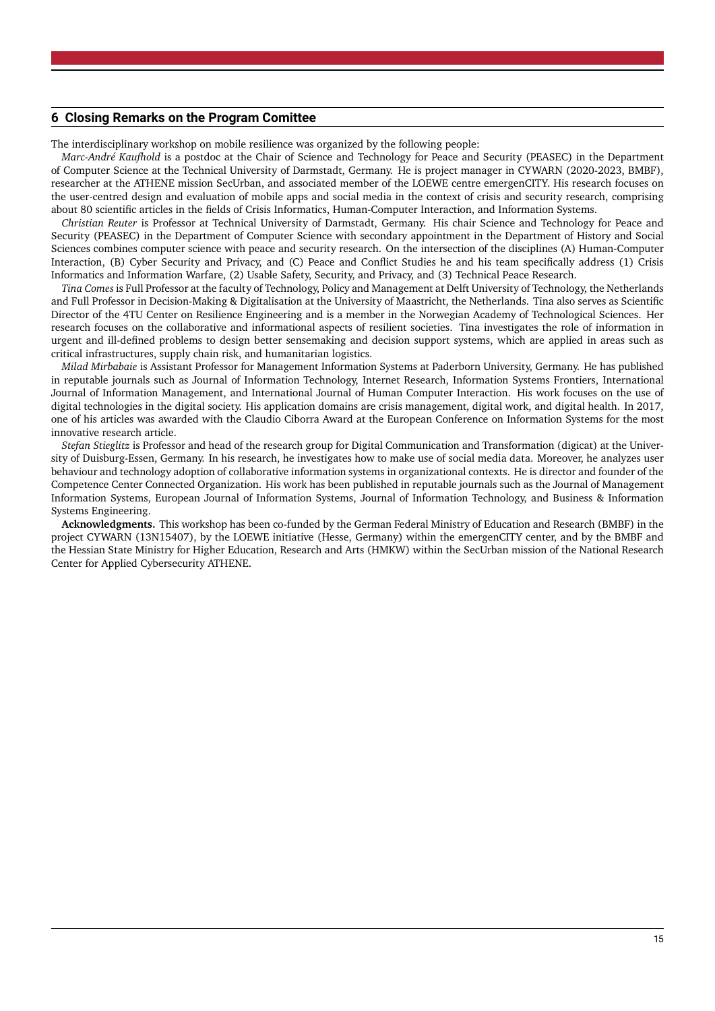#### <span id="page-14-0"></span>**6 Closing Remarks on the Program Comittee**

The interdisciplinary workshop on mobile resilience was organized by the following people:

*Marc-André Kaufhold* is a postdoc at the Chair of Science and Technology for Peace and Security (PEASEC) in the Department of Computer Science at the Technical University of Darmstadt, Germany. He is project manager in CYWARN (2020-2023, BMBF), researcher at the ATHENE mission SecUrban, and associated member of the LOEWE centre emergenCITY. His research focuses on the user-centred design and evaluation of mobile apps and social media in the context of crisis and security research, comprising about 80 scientific articles in the fields of Crisis Informatics, Human-Computer Interaction, and Information Systems.

*Christian Reuter* is Professor at Technical University of Darmstadt, Germany. His chair Science and Technology for Peace and Security (PEASEC) in the Department of Computer Science with secondary appointment in the Department of History and Social Sciences combines computer science with peace and security research. On the intersection of the disciplines (A) Human-Computer Interaction, (B) Cyber Security and Privacy, and (C) Peace and Conflict Studies he and his team specifically address (1) Crisis Informatics and Information Warfare, (2) Usable Safety, Security, and Privacy, and (3) Technical Peace Research.

*Tina Comes* is Full Professor at the faculty of Technology, Policy and Management at Delft University of Technology, the Netherlands and Full Professor in Decision-Making & Digitalisation at the University of Maastricht, the Netherlands. Tina also serves as Scientific Director of the 4TU Center on Resilience Engineering and is a member in the Norwegian Academy of Technological Sciences. Her research focuses on the collaborative and informational aspects of resilient societies. Tina investigates the role of information in urgent and ill-defined problems to design better sensemaking and decision support systems, which are applied in areas such as critical infrastructures, supply chain risk, and humanitarian logistics.

*Milad Mirbabaie* is Assistant Professor for Management Information Systems at Paderborn University, Germany. He has published in reputable journals such as Journal of Information Technology, Internet Research, Information Systems Frontiers, International Journal of Information Management, and International Journal of Human Computer Interaction. His work focuses on the use of digital technologies in the digital society. His application domains are crisis management, digital work, and digital health. In 2017, one of his articles was awarded with the Claudio Ciborra Award at the European Conference on Information Systems for the most innovative research article.

*Stefan Stieglitz* is Professor and head of the research group for Digital Communication and Transformation (digicat) at the University of Duisburg-Essen, Germany. In his research, he investigates how to make use of social media data. Moreover, he analyzes user behaviour and technology adoption of collaborative information systems in organizational contexts. He is director and founder of the Competence Center Connected Organization. His work has been published in reputable journals such as the Journal of Management Information Systems, European Journal of Information Systems, Journal of Information Technology, and Business & Information Systems Engineering.

**Acknowledgments.** This workshop has been co-funded by the German Federal Ministry of Education and Research (BMBF) in the project CYWARN (13N15407), by the LOEWE initiative (Hesse, Germany) within the emergenCITY center, and by the BMBF and the Hessian State Ministry for Higher Education, Research and Arts (HMKW) within the SecUrban mission of the National Research Center for Applied Cybersecurity ATHENE.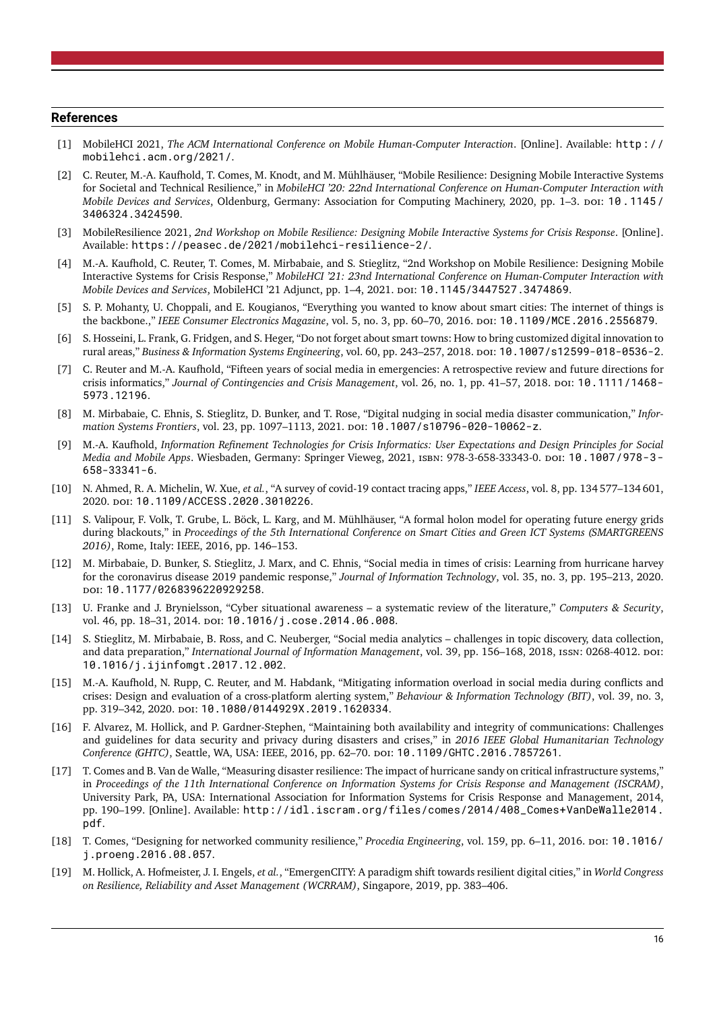#### **References**

- <span id="page-15-0"></span>[1] MobileHCI 2021, *The ACM International Conference on Mobile Human-Computer Interaction*. [Online]. Available: [http://](http://mobilehci.acm.org/2021/) [mobilehci.acm.org/2021/](http://mobilehci.acm.org/2021/).
- <span id="page-15-1"></span>[2] C. Reuter, M.-A. Kaufhold, T. Comes, M. Knodt, and M. Mühlhäuser, "Mobile Resilience: Designing Mobile Interactive Systems for Societal and Technical Resilience," in *MobileHCI '20: 22nd International Conference on Human-Computer Interaction with Mobile Devices and Services*, Oldenburg, Germany: Association for Computing Machinery, 2020, pp. 1-3. doi: [10.1145/](https://doi.org/10.1145/3406324.3424590) [3406324.3424590](https://doi.org/10.1145/3406324.3424590).
- <span id="page-15-2"></span>[3] MobileResilience 2021, *2nd Workshop on Mobile Resilience: Designing Mobile Interactive Systems for Crisis Response*. [Online]. Available: <https://peasec.de/2021/mobilehci-resilience-2/>.
- <span id="page-15-3"></span>[4] M.-A. Kaufhold, C. Reuter, T. Comes, M. Mirbabaie, and S. Stieglitz, "2nd Workshop on Mobile Resilience: Designing Mobile Interactive Systems for Crisis Response," *MobileHCI '21: 23nd International Conference on Human-Computer Interaction with Mobile Devices and Services*, MobileHCI '21 Adjunct, pp. 1–4, 2021. doi: [10.1145/3447527.3474869](https://doi.org/10.1145/3447527.3474869).
- <span id="page-15-4"></span>[5] S. P. Mohanty, U. Choppali, and E. Kougianos, "Everything you wanted to know about smart cities: The internet of things is the backbone.," *IEEE Consumer Electronics Magazine*, vol. 5, no. 3, pp. 60–70, 2016. doi: [10.1109/MCE.2016.2556879](https://doi.org/10.1109/MCE.2016.2556879).
- <span id="page-15-5"></span>[6] S. Hosseini, L. Frank, G. Fridgen, and S. Heger, "Do not forget about smart towns: How to bring customized digital innovation to rural areas," *Business & Information Systems Engineering*, vol. 60, pp. 243–257, 2018. doi: [10.1007/s12599-018-0536-2](https://doi.org/10.1007/s12599-018-0536-2).
- <span id="page-15-6"></span>[7] C. Reuter and M.-A. Kaufhold, "Fifteen years of social media in emergencies: A retrospective review and future directions for crisis informatics," Journal of Contingencies and Crisis Management, vol. 26, no. 1, pp. 41–57, 2018. poi: [10.1111/1468-](https://doi.org/10.1111/1468-5973.12196) [5973.12196](https://doi.org/10.1111/1468-5973.12196).
- [8] M. Mirbabaie, C. Ehnis, S. Stieglitz, D. Bunker, and T. Rose, "Digital nudging in social media disaster communication," *Information Systems Frontiers, vol.* 23, pp. 1097-1113, 2021. poi: [10.1007/s10796-020-10062-z](https://doi.org/10.1007/s10796-020-10062-z).
- <span id="page-15-7"></span>[9] M.-A. Kaufhold, *Information Refinement Technologies for Crisis Informatics: User Expectations and Design Principles for Social Media and Mobile Apps.* Wiesbaden, Germany: Springer Vieweg, 2021, ISBN: 978-3-658-33343-0. DOI: [10.1007/978-3-](https://doi.org/10.1007/978-3-658-33341-6) [658-33341-6](https://doi.org/10.1007/978-3-658-33341-6).
- <span id="page-15-8"></span>[10] N. Ahmed, R. A. Michelin, W. Xue, *et al.*, "A survey of covid-19 contact tracing apps," *IEEE Access*, vol. 8, pp. 134 577–134 601, 2020. doi: [10.1109/ACCESS.2020.3010226](https://doi.org/10.1109/ACCESS.2020.3010226).
- <span id="page-15-9"></span>[11] S. Valipour, F. Volk, T. Grube, L. Böck, L. Karg, and M. Mühlhäuser, "A formal holon model for operating future energy grids during blackouts," in *Proceedings of the 5th International Conference on Smart Cities and Green ICT Systems (SMARTGREENS 2016)*, Rome, Italy: IEEE, 2016, pp. 146–153.
- <span id="page-15-10"></span>[12] M. Mirbabaie, D. Bunker, S. Stieglitz, J. Marx, and C. Ehnis, "Social media in times of crisis: Learning from hurricane harvey for the coronavirus disease 2019 pandemic response," *Journal of Information Technology*, vol. 35, no. 3, pp. 195–213, 2020. doi: [10.1177/0268396220929258](https://doi.org/10.1177/0268396220929258).
- <span id="page-15-11"></span>[13] U. Franke and J. Brynielsson, "Cyber situational awareness – a systematic review of the literature," *Computers & Security*, vol. 46, pp. 18-31, 2014. poi: [10.1016/j.cose.2014.06.008](https://doi.org/10.1016/j.cose.2014.06.008).
- <span id="page-15-12"></span>[14] S. Stieglitz, M. Mirbabaie, B. Ross, and C. Neuberger, "Social media analytics – challenges in topic discovery, data collection, and data preparation," *International Journal of Information Management*, vol. 39, pp. 156-168, 2018, ISSN: 0268-4012. DOI: [10.1016/j.ijinfomgt.2017.12.002](https://doi.org/10.1016/j.ijinfomgt.2017.12.002).
- <span id="page-15-13"></span>[15] M.-A. Kaufhold, N. Rupp, C. Reuter, and M. Habdank, "Mitigating information overload in social media during conflicts and crises: Design and evaluation of a cross-platform alerting system," *Behaviour & Information Technology (BIT)*, vol. 39, no. 3, pp. 319-342, 2020. doi: [10.1080/0144929X.2019.1620334](https://doi.org/10.1080/0144929X.2019.1620334).
- <span id="page-15-14"></span>[16] F. Alvarez, M. Hollick, and P. Gardner-Stephen, "Maintaining both availability and integrity of communications: Challenges and guidelines for data security and privacy during disasters and crises," in *2016 IEEE Global Humanitarian Technology Conference (GHTC)*, Seattle, WA, USA: IEEE, 2016, pp. 62–70. doi: [10.1109/GHTC.2016.7857261](https://doi.org/10.1109/GHTC.2016.7857261).
- <span id="page-15-15"></span>[17] T. Comes and B. Van de Walle, "Measuring disaster resilience: The impact of hurricane sandy on critical infrastructure systems," in *Proceedings of the 11th International Conference on Information Systems for Crisis Response and Management (ISCRAM)*, University Park, PA, USA: International Association for Information Systems for Crisis Response and Management, 2014, pp. 190–199. [Online]. Available: [http://idl.iscram.org/files/comes/2014/408\\_Comes+VanDeWalle2014.](http://idl.iscram.org/files/comes/2014/408_Comes+VanDeWalle2014.pdf) [pdf](http://idl.iscram.org/files/comes/2014/408_Comes+VanDeWalle2014.pdf).
- <span id="page-15-16"></span>[18] T. Comes, "Designing for networked community resilience," *Procedia Engineering*, vol. 159, pp. 6–11, 2016. doi: [10.1016/](https://doi.org/10.1016/j.proeng.2016.08.057) [j.proeng.2016.08.057](https://doi.org/10.1016/j.proeng.2016.08.057).
- <span id="page-15-17"></span>[19] M. Hollick, A. Hofmeister, J. I. Engels, *et al.*, "EmergenCITY: A paradigm shift towards resilient digital cities," in *World Congress on Resilience, Reliability and Asset Management (WCRRAM)*, Singapore, 2019, pp. 383–406.